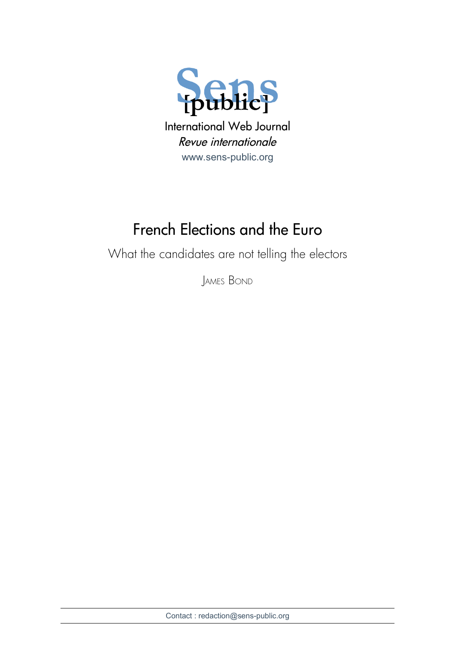

# French Elections and the Euro

What the candidates are not telling the electors

JAMES BOND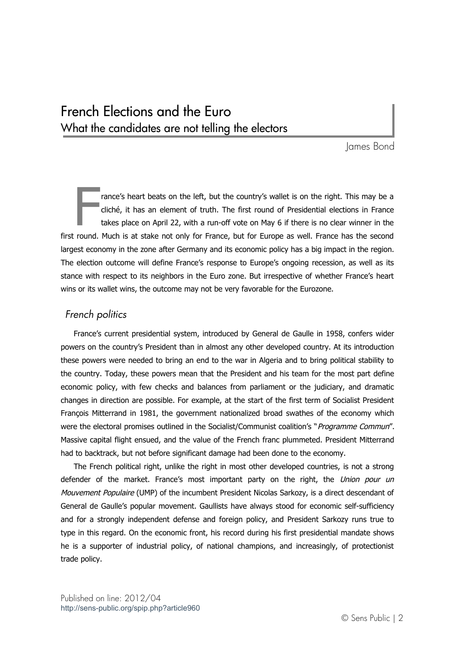# French Elections and the Euro What the candidates are not telling the electors

James Bond

rance's heart beats on the left, but the country's wallet is on the right. This may be a cliché, it has an element of truth. The first round of Presidential elections in France takes place on April 22, with a run-off vote on May 6 if there is no clear winner in the first round. Much is at stake not only for France, but for Europe as well. France has the second largest economy in the zone after Germany and its economic policy has a big impact in the region. The election outcome will define France's response to Europe's ongoing recession, as well as its stance with respect to its neighbors in the Euro zone. But irrespective of whether France's heart wins or its wallet wins, the outcome may not be very favorable for the Eurozone. F

# *French politics*

France's current presidential system, introduced by General de Gaulle in 1958, confers wider powers on the country's President than in almost any other developed country. At its introduction these powers were needed to bring an end to the war in Algeria and to bring political stability to the country. Today, these powers mean that the President and his team for the most part define economic policy, with few checks and balances from parliament or the judiciary, and dramatic changes in direction are possible. For example, at the start of the first term of Socialist President François Mitterrand in 1981, the government nationalized broad swathes of the economy which were the electoral promises outlined in the Socialist/Communist coalition's "Programme Commun". Massive capital flight ensued, and the value of the French franc plummeted. President Mitterrand had to backtrack, but not before significant damage had been done to the economy.

The French political right, unlike the right in most other developed countries, is not a strong defender of the market. France's most important party on the right, the Union pour un Mouvement Populaire (UMP) of the incumbent President Nicolas Sarkozy, is a direct descendant of General de Gaulle's popular movement. Gaullists have always stood for economic self-sufficiency and for a strongly independent defense and foreign policy, and President Sarkozy runs true to type in this regard. On the economic front, his record during his first presidential mandate shows he is a supporter of industrial policy, of national champions, and increasingly, of protectionist trade policy.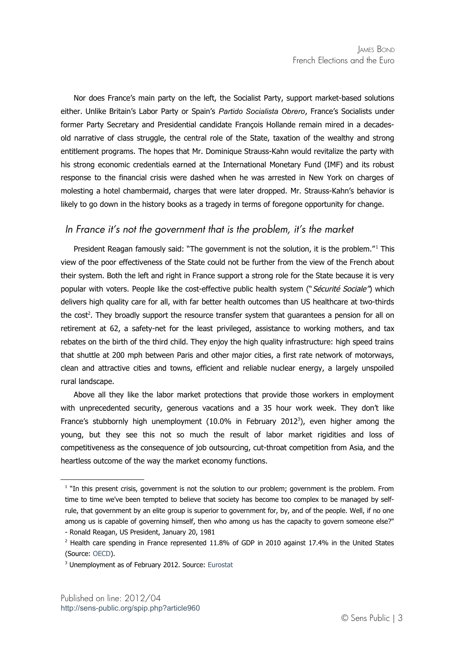Nor does France's main party on the left, the Socialist Party, support market-based solutions either. Unlike Britain's Labor Party or Spain's *Partido Socialista Obrero*, France's Socialists under former Party Secretary and Presidential candidate François Hollande remain mired in a decadesold narrative of class struggle, the central role of the State, taxation of the wealthy and strong entitlement programs. The hopes that Mr. Dominique Strauss-Kahn would revitalize the party with his strong economic credentials earned at the International Monetary Fund (IMF) and its robust response to the financial crisis were dashed when he was arrested in New York on charges of molesting a hotel chambermaid, charges that were later dropped. Mr. Strauss-Kahn's behavior is likely to go down in the history books as a tragedy in terms of foregone opportunity for change.

# *In France it's not the government that is the problem, it's the market*

President Reagan famously said: "The government is not the solution, it is the problem."<sup>[1](#page-2-0)</sup> This view of the poor effectiveness of the State could not be further from the view of the French about their system. Both the left and right in France support a strong role for the State because it is very popular with voters. People like the cost-effective public health system ("Sécurité Sociale") which delivers high quality care for all, with far better health outcomes than US healthcare at two-thirds the cost<sup>[2](#page-2-1)</sup>. They broadly support the resource transfer system that guarantees a pension for all on retirement at 62, a safety-net for the least privileged, assistance to working mothers, and tax rebates on the birth of the third child. They enjoy the high quality infrastructure: high speed trains that shuttle at 200 mph between Paris and other major cities, a first rate network of motorways, clean and attractive cities and towns, efficient and reliable nuclear energy, a largely unspoiled rural landscape.

Above all they like the labor market protections that provide those workers in employment with unprecedented security, generous vacations and a 35 hour work week. They don't like France's stubbornly high unemployment  $(10.0\%$  in February 2012<sup>[3](#page-2-2)</sup>), even higher among the young, but they see this not so much the result of labor market rigidities and loss of competitiveness as the consequence of job outsourcing, cut-throat competition from Asia, and the heartless outcome of the way the market economy functions.

<span id="page-2-0"></span><sup>&</sup>lt;sup>1</sup> "In this present crisis, government is not the solution to our problem; government is the problem. From time to time we've been tempted to believe that society has become too complex to be managed by selfrule, that government by an elite group is superior to government for, by, and of the people. Well, if no one among us is capable of governing himself, then who among us has the capacity to govern someone else?" - Ronald Reagan, US President, January 20, 1981

<span id="page-2-1"></span> $^2$  Health care spending in France represented 11.8% of GDP in 2010 against 17.4% in the United States (Source: [OECD\)](http://www.oecd.org/document/16/0,3746,en_2649_33929_2085200_1_1_1_1,00.html).

<span id="page-2-2"></span><sup>&</sup>lt;sup>3</sup> Unemployment as of February 2012. Source: [Eurostat](http://epp.eurostat.ec.europa.eu/portal/page/portal/employment_unemployment_lfs/introduction)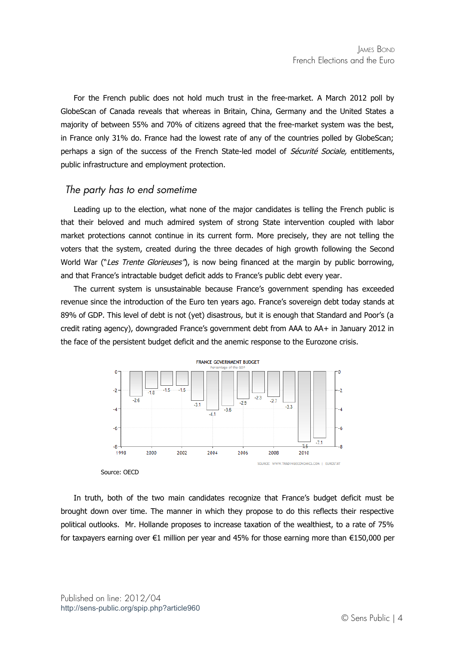For the French public does not hold much trust in the free-market. A March 2012 poll by GlobeScan of Canada reveals that whereas in Britain, China, Germany and the United States a majority of between 55% and 70% of citizens agreed that the free-market system was the best, in France only 31% do. France had the lowest rate of any of the countries polled by GlobeScan; perhaps a sign of the success of the French State-led model of Sécurité Sociale, entitlements, public infrastructure and employment protection.

### *The party has to end sometime*

Leading up to the election, what none of the major candidates is telling the French public is that their beloved and much admired system of strong State intervention coupled with labor market protections cannot continue in its current form. More precisely, they are not telling the voters that the system, created during the three decades of high growth following the Second World War ("Les Trente Glorieuses"), is now being financed at the margin by public borrowing, and that France's intractable budget deficit adds to France's public debt every year.

The current system is unsustainable because France's government spending has exceeded revenue since the introduction of the Euro ten years ago. France's sovereign debt today stands at 89% of GDP. This level of debt is not (yet) disastrous, but it is enough that Standard and Poor's (a credit rating agency), downgraded France's government debt from AAA to AA+ in January 2012 in the face of the persistent budget deficit and the anemic response to the Eurozone crisis.



Source: OECD

In truth, both of the two main candidates recognize that France's budget deficit must be brought down over time. The manner in which they propose to do this reflects their respective political outlooks. Mr. Hollande proposes to increase taxation of the wealthiest, to a rate of 75% for taxpayers earning over €1 million per year and 45% for those earning more than €150,000 per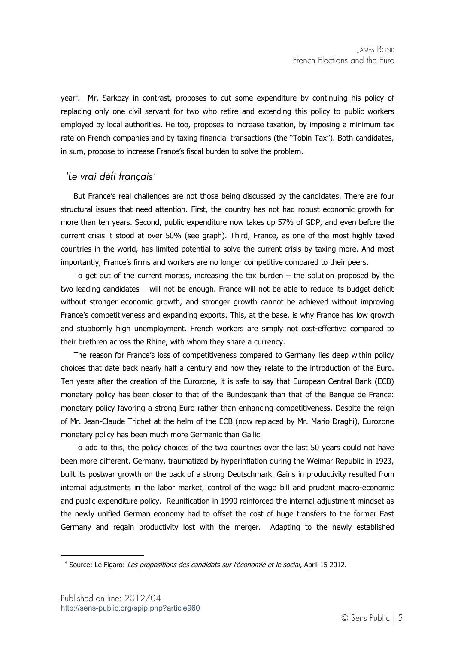year<sup>[4](#page-4-0)</sup>. Mr. Sarkozy in contrast, proposes to cut some expenditure by continuing his policy of replacing only one civil servant for two who retire and extending this policy to public workers employed by local authorities. He too, proposes to increase taxation, by imposing a minimum tax rate on French companies and by taxing financial transactions (the "Tobin Tax"). Both candidates, in sum, propose to increase France's fiscal burden to solve the problem.

### *'Le vrai défi français'*

But France's real challenges are not those being discussed by the candidates. There are four structural issues that need attention. First, the country has not had robust economic growth for more than ten years. Second, public expenditure now takes up 57% of GDP, and even before the current crisis it stood at over 50% (see graph). Third, France, as one of the most highly taxed countries in the world, has limited potential to solve the current crisis by taxing more. And most importantly, France's firms and workers are no longer competitive compared to their peers.

To get out of the current morass, increasing the tax burden  $-$  the solution proposed by the two leading candidates – will not be enough. France will not be able to reduce its budget deficit without stronger economic growth, and stronger growth cannot be achieved without improving France's competitiveness and expanding exports. This, at the base, is why France has low growth and stubbornly high unemployment. French workers are simply not cost-effective compared to their brethren across the Rhine, with whom they share a currency.

The reason for France's loss of competitiveness compared to Germany lies deep within policy choices that date back nearly half a century and how they relate to the introduction of the Euro. Ten years after the creation of the Eurozone, it is safe to say that European Central Bank (ECB) monetary policy has been closer to that of the Bundesbank than that of the Banque de France: monetary policy favoring a strong Euro rather than enhancing competitiveness. Despite the reign of Mr. Jean-Claude Trichet at the helm of the ECB (now replaced by Mr. Mario Draghi), Eurozone monetary policy has been much more Germanic than Gallic.

To add to this, the policy choices of the two countries over the last 50 years could not have been more different. Germany, traumatized by hyperinflation during the Weimar Republic in 1923, built its postwar growth on the back of a strong Deutschmark. Gains in productivity resulted from internal adjustments in the labor market, control of the wage bill and prudent macro-economic and public expenditure policy. Reunification in 1990 reinforced the internal adjustment mindset as the newly unified German economy had to offset the cost of huge transfers to the former East Germany and regain productivity lost with the merger. Adapting to the newly established

<span id="page-4-0"></span><sup>&</sup>lt;sup>4</sup> Source: Le Figaro: *Les propositions des candidats sur l'économie et le social*, April 15 2012.